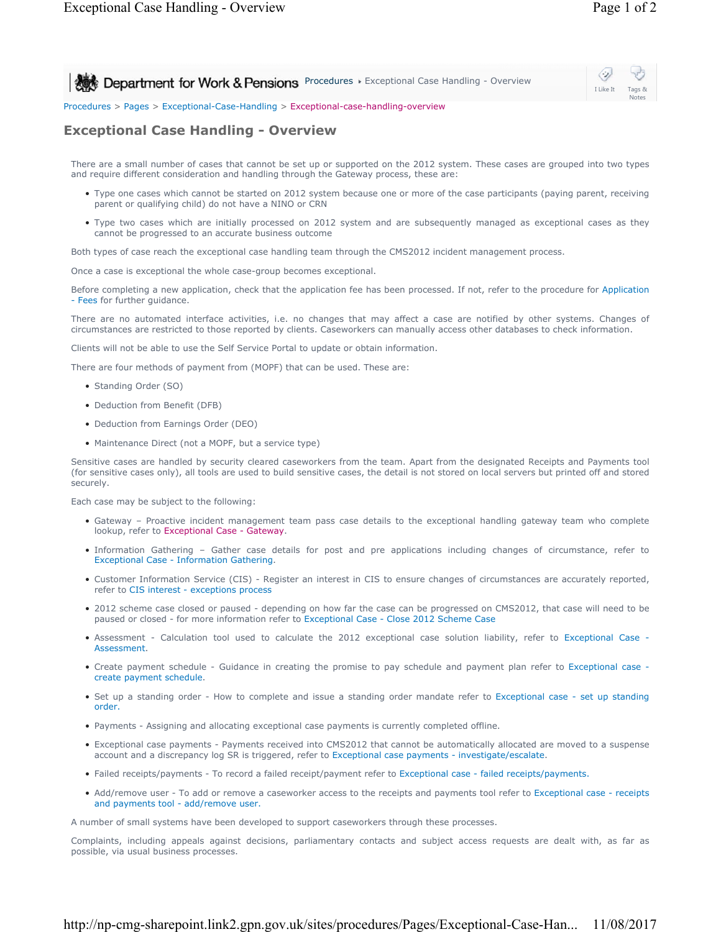Notes

⇔ **Procedures Figgerianal Case Handling - Overview Department for Work & Pensions** Procedures Figures Exceptional Case Handling - Overview I Like It Tags &

Procedures > Pages > Exceptional-Case-Handling > Exceptional-case-handling-overview

## **Exceptional Case Handling - Overview**

There are a small number of cases that cannot be set up or supported on the 2012 system. These cases are grouped into two types and require different consideration and handling through the Gateway process, these are:

- Type one cases which cannot be started on 2012 system because one or more of the case participants (paying parent, receiving parent or qualifying child) do not have a NINO or CRN
- Type two cases which are initially processed on 2012 system and are subsequently managed as exceptional cases as they cannot be progressed to an accurate business outcome

Both types of case reach the exceptional case handling team through the CMS2012 incident management process.

Once a case is exceptional the whole case-group becomes exceptional.

Before completing a new application, check that the application fee has been processed. If not, refer to the procedure for Application - Fees for further guidance.

There are no automated interface activities, i.e. no changes that may affect a case are notified by other systems. Changes of circumstances are restricted to those reported by clients. Caseworkers can manually access other databases to check information.

Clients will not be able to use the Self Service Portal to update or obtain information.

There are four methods of payment from (MOPF) that can be used. These are:

- Standing Order (SO)
- Deduction from Benefit (DFB)
- Deduction from Earnings Order (DEO)
- Maintenance Direct (not a MOPF, but a service type)

Sensitive cases are handled by security cleared caseworkers from the team. Apart from the designated Receipts and Payments tool (for sensitive cases only), all tools are used to build sensitive cases, the detail is not stored on local servers but printed off and stored securely.

Each case may be subject to the following:

- Gateway Proactive incident management team pass case details to the exceptional handling gateway team who complete lookup, refer to Exceptional Case - Gateway.
- Information Gathering Gather case details for post and pre applications including changes of circumstance, refer to Exceptional Case - Information Gathering.
- Customer Information Service (CIS) Register an interest in CIS to ensure changes of circumstances are accurately reported, refer to CIS interest - exceptions process
- 2012 scheme case closed or paused depending on how far the case can be progressed on CMS2012, that case will need to be paused or closed - for more information refer to Exceptional Case - Close 2012 Scheme Case
- Assessment Calculation tool used to calculate the 2012 exceptional case solution liability, refer to Exceptional Case -Assessment.
- Create payment schedule Guidance in creating the promise to pay schedule and payment plan refer to Exceptional case create payment schedule.
- Set up a standing order How to complete and issue a standing order mandate refer to Exceptional case set up standing order.
- Payments Assigning and allocating exceptional case payments is currently completed offline.
- Exceptional case payments Payments received into CMS2012 that cannot be automatically allocated are moved to a suspense account and a discrepancy log SR is triggered, refer to Exceptional case payments - investigate/escalate.
- Failed receipts/payments To record a failed receipt/payment refer to Exceptional case failed receipts/payments.
- Add/remove user To add or remove a caseworker access to the receipts and payments tool refer to Exceptional case receipts and payments tool - add/remove user.

A number of small systems have been developed to support caseworkers through these processes.

Complaints, including appeals against decisions, parliamentary contacts and subject access requests are dealt with, as far as possible, via usual business processes.